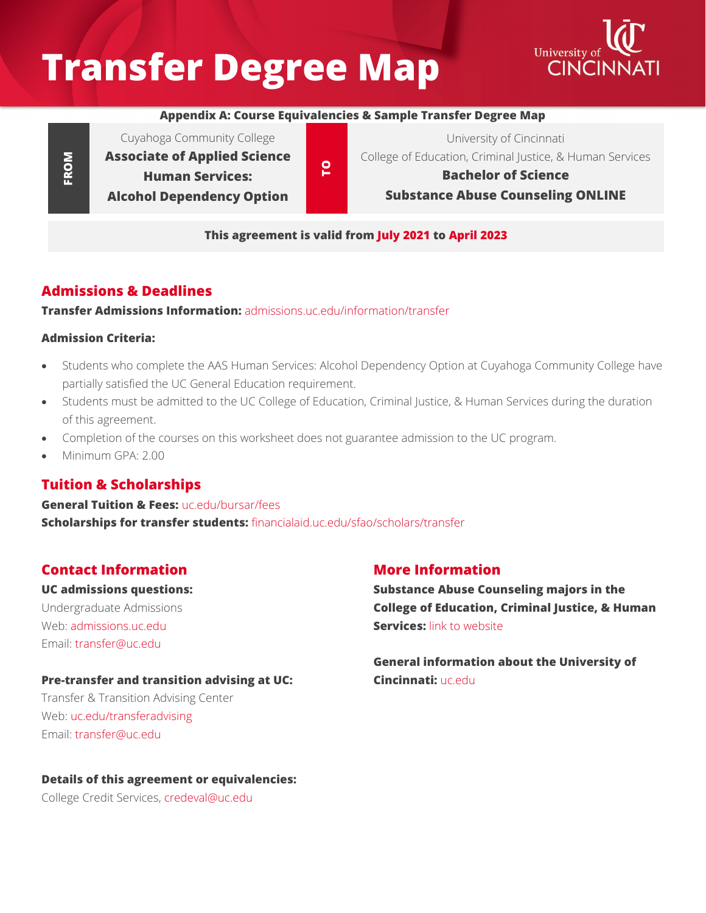# **Transfer Degree Map**



#### **Appendix A: Course Equivalencies & Sample Transfer Degree Map**

Cuyahoga Community College **Associate of Applied Science Human Services: Alcohol Dependency Option**

**TO**

University of Cincinnati College of Education, Criminal Justice, & Human Services

**Bachelor of Science Substance Abuse Counseling ONLINE**

#### **This agreement is valid from July 2021 to April 2023**

#### **Admissions & Deadlines**

**Transfer Admissions Information:** [admissions.uc.edu/information/transfer](https://admissions.uc.edu/information/transfer.html)

#### **Admission Criteria:**

**FROM**

- Students who complete the AAS Human Services: Alcohol Dependency Option at Cuyahoga Community College have partially satisfied the UC General Education requirement.
- Students must be admitted to the UC College of Education, Criminal Justice, & Human Services during the duration of this agreement.
- Completion of the courses on this worksheet does not guarantee admission to the UC program.
- Minimum GPA: 2.00

#### **Tuition & Scholarships**

**General Tuition & Fees:** [uc.edu/bursar/fees](https://www.uc.edu/bursar/fees.html) **Scholarships for transfer students:** [financialaid.uc.edu/sfao/scholars/transfer](https://financialaid.uc.edu/sfao/scholars/transfer)

#### **Contact Information**

**UC admissions questions:**

Undergraduate Admissions Web: [admissions.uc.edu](https://admissions.uc.edu/) Email: [transfer@uc.edu](mailto:transfer@uc.edu)

#### **Pre-transfer and transition advising at UC:**

Transfer & Transition Advising Center Web: [uc.edu/transferadvising](https://www.uc.edu/transferadvising.html) Email: [transfer@uc.edu](mailto:transfer@uc.edu)

#### **More Information**

**Substance Abuse Counseling majors in the College of Education, Criminal Justice, & Human Services:** [lin](https://www.artsci.uc.edu/departments/polisci/undergrad.html)k to website

**General information about the University of Cincinnati:** [uc.edu](https://www.uc.edu/)

**Details of this agreement or equivalencies:**

College Credit Services, [credeval@uc.edu](mailto:credeval@uc.edu)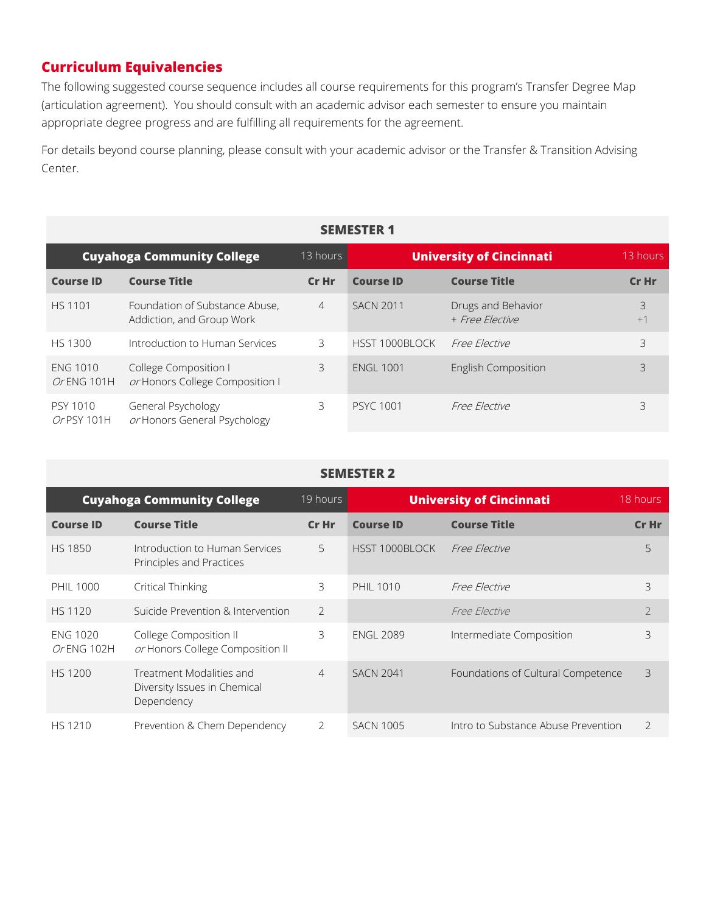## **Curriculum Equivalencies**

The following suggested course sequence includes all course requirements for this program's Transfer Degree Map (articulation agreement). You should consult with an academic advisor each semester to ensure you maintain appropriate degree progress and are fulfilling all requirements for the agreement.

For details beyond course planning, please consult with your academic advisor or the Transfer & Transition Advising Center.

| <b>SEMESTER 1</b>                 |                                                             |                |                                 |                                       |           |
|-----------------------------------|-------------------------------------------------------------|----------------|---------------------------------|---------------------------------------|-----------|
| <b>Cuyahoga Community College</b> |                                                             | 13 hours       | <b>University of Cincinnati</b> |                                       | 13 hours  |
| <b>Course ID</b>                  | <b>Course Title</b>                                         | Cr Hr          | <b>Course ID</b>                | <b>Course Title</b>                   | Cr Hr     |
| <b>HS 1101</b>                    | Foundation of Substance Abuse,<br>Addiction, and Group Work | $\overline{4}$ | <b>SACN 2011</b>                | Drugs and Behavior<br>+ Free Elective | 3<br>$+1$ |
| HS 1300                           | Introduction to Human Services                              | 3.             | HSST 1000BLOCK                  | <i>Free Elective</i>                  | 3         |
| <b>ENG 1010</b><br>Or ENG 101H    | College Composition I<br>or Honors College Composition I    | 3.             | <b>ENGL 1001</b>                | <b>English Composition</b>            | 3         |
| <b>PSY 1010</b><br>Or PSY 101H    | General Psychology<br>or Honors General Psychology          | 3.             | <b>PSYC 1001</b>                | <i>Free Elective</i>                  | 3         |

#### **SEMESTER 2**

| <b>Cuyahoga Community College</b> |                                                                        | 19 hours       | <b>University of Cincinnati</b> |                                     | 18 hours       |
|-----------------------------------|------------------------------------------------------------------------|----------------|---------------------------------|-------------------------------------|----------------|
| <b>Course ID</b>                  | <b>Course Title</b>                                                    | Cr Hr          | <b>Course ID</b>                | <b>Course Title</b>                 | Cr Hr          |
| <b>HS 1850</b>                    | Introduction to Human Services<br>Principles and Practices             | 5              | HSST 1000BLOCK                  | Free Elective                       | 5              |
| <b>PHIL 1000</b>                  | Critical Thinking                                                      | 3              | <b>PHIL 1010</b>                | Free Flective                       | 3              |
| <b>HS 1120</b>                    | Suicide Prevention & Intervention                                      | $\overline{2}$ |                                 | Free Elective                       | $\overline{2}$ |
| <b>ENG 1020</b><br>Or ENG 102H    | College Composition II<br>or Honors College Composition II             | 3              | <b>ENGL 2089</b>                | Intermediate Composition            | 3              |
| HS 1200                           | Treatment Modalities and<br>Diversity Issues in Chemical<br>Dependency | $\overline{4}$ | <b>SACN 2041</b>                | Foundations of Cultural Competence  | 3              |
| <b>HS 1210</b>                    | Prevention & Chem Dependency                                           | 2              | <b>SACN 1005</b>                | Intro to Substance Abuse Prevention | $\overline{2}$ |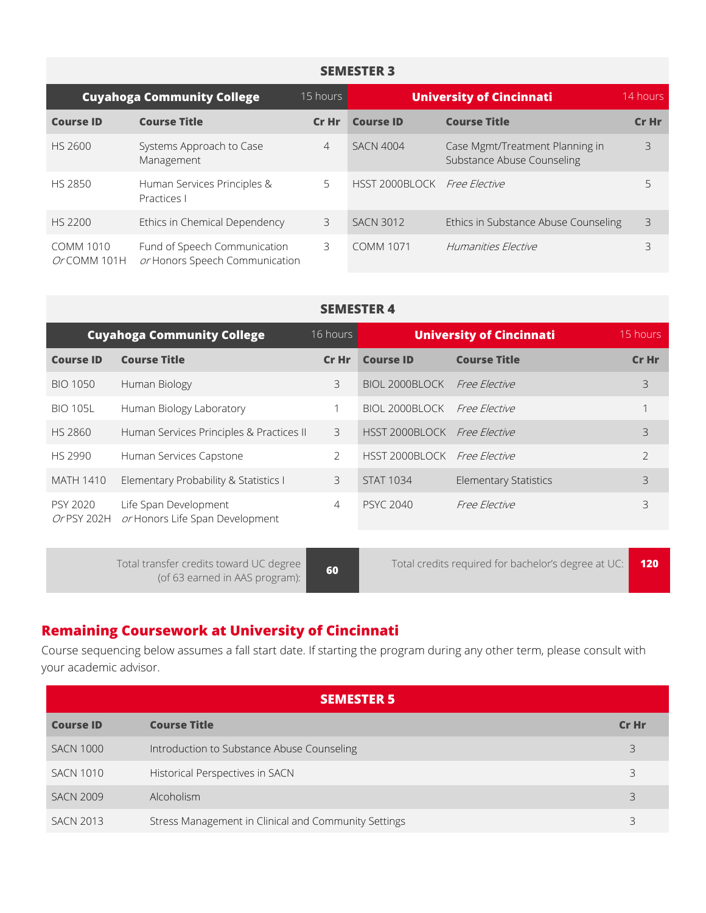#### **SEMESTER 3**

|                                 | <b>Cuyahoga Community College</b>                              | 15 hours       |                              | <b>University of Cincinnati</b>                               | 14 hours |
|---------------------------------|----------------------------------------------------------------|----------------|------------------------------|---------------------------------------------------------------|----------|
| <b>Course ID</b>                | <b>Course Title</b>                                            | Cr Hr          | <b>Course ID</b>             | <b>Course Title</b>                                           | Cr Hr    |
| HS 2600                         | Systems Approach to Case<br>Management                         | $\overline{4}$ | <b>SACN 4004</b>             | Case Mgmt/Treatment Planning in<br>Substance Abuse Counseling | 3        |
| <b>HS 2850</b>                  | Human Services Principles &<br>Practices I                     | 5              | HSST 2000BLOCK Free Elective |                                                               |          |
| HS 2200                         | Ethics in Chemical Dependency                                  | 3              | <b>SACN 3012</b>             | Ethics in Substance Abuse Counseling                          | 3        |
| <b>COMM 1010</b><br>OrCOMM 101H | Fund of Speech Communication<br>or Honors Speech Communication | 3              | <b>COMM 1071</b>             | Humanities Elective                                           | 3        |

#### **SEMESTER 4**

| 16 hours<br><b>Cuyahoga Community College</b> |                                                          | <b>University of Cincinnati</b> |                              | 15 hours                     |                |
|-----------------------------------------------|----------------------------------------------------------|---------------------------------|------------------------------|------------------------------|----------------|
| <b>Course ID</b>                              | <b>Course Title</b>                                      | Cr Hr                           | <b>Course ID</b>             | <b>Course Title</b>          | Cr Hr          |
| BIO 1050                                      | Human Biology                                            | 3                               | BIOL 2000BLOCK               | <i>Free Elective</i>         | 3              |
| <b>BIO 105L</b>                               | Human Biology Laboratory                                 |                                 | BIOL 2000BLOCK               | Free Flective                |                |
| <b>HS 2860</b>                                | Human Services Principles & Practices II                 | 3                               | HSST 2000BLOCK Free Elective |                              | 3              |
| <b>HS 2990</b>                                | Human Services Capstone                                  | $\mathcal{P}$                   | HSST 2000BLOCK Free Elective |                              | $\overline{2}$ |
| <b>MATH 1410</b>                              | Elementary Probability & Statistics I                    | 3                               | <b>STAT 1034</b>             | <b>Elementary Statistics</b> | 3              |
| PSY 2020<br>Or PSY 202H                       | Life Span Development<br>or Honors Life Span Development | $\overline{4}$                  | <b>PSYC 2040</b>             | Free Flective                | 3              |
|                                               |                                                          |                                 |                              |                              |                |

Total transfer credits toward UC degree (of 63 earned in AAS program): **<sup>60</sup>** Total credits required for bachelor's degree at UC: **<sup>120</sup>**

# **Remaining Coursework at University of Cincinnati**

Course sequencing below assumes a fall start date. If starting the program during any other term, please consult with your academic advisor.

| <b>SEMESTER 5</b> |                                                      |       |  |  |
|-------------------|------------------------------------------------------|-------|--|--|
| <b>Course ID</b>  | <b>Course Title</b>                                  | Cr Hr |  |  |
| <b>SACN 1000</b>  | Introduction to Substance Abuse Counseling           | 3     |  |  |
| <b>SACN 1010</b>  | Historical Perspectives in SACN                      | 3     |  |  |
| <b>SACN 2009</b>  | <b>Alcoholism</b>                                    |       |  |  |
| <b>SACN 2013</b>  | Stress Management in Clinical and Community Settings |       |  |  |